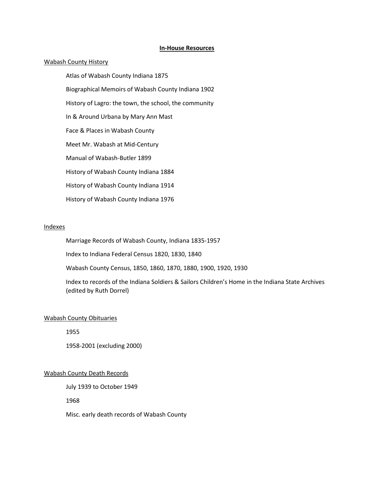## **In-House Resources**

## Wabash County History

Atlas of Wabash County Indiana 1875

Biographical Memoirs of Wabash County Indiana 1902

History of Lagro: the town, the school, the community

In & Around Urbana by Mary Ann Mast

Face & Places in Wabash County

Meet Mr. Wabash at Mid-Century

Manual of Wabash-Butler 1899

History of Wabash County Indiana 1884

History of Wabash County Indiana 1914

History of Wabash County Indiana 1976

## Indexes

Marriage Records of Wabash County, Indiana 1835-1957

Index to Indiana Federal Census 1820, 1830, 1840

Wabash County Census, 1850, 1860, 1870, 1880, 1900, 1920, 1930

Index to records of the Indiana Soldiers & Sailors Children's Home in the Indiana State Archives (edited by Ruth Dorrel)

## Wabash County Obituaries

1955

1958-2001 (excluding 2000)

## Wabash County Death Records

July 1939 to October 1949

1968

Misc. early death records of Wabash County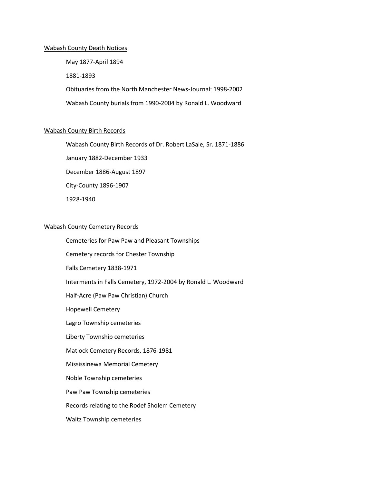### Wabash County Death Notices

May 1877-April 1894 1881-1893 Obituaries from the North Manchester News-Journal: 1998-2002 Wabash County burials from 1990-2004 by Ronald L. Woodward

## Wabash County Birth Records

Wabash County Birth Records of Dr. Robert LaSale, Sr. 1871-1886 January 1882-December 1933 December 1886-August 1897 City-County 1896-1907 1928-1940

## Wabash County Cemetery Records

Cemeteries for Paw Paw and Pleasant Townships Cemetery records for Chester Township Falls Cemetery 1838-1971 Interments in Falls Cemetery, 1972-2004 by Ronald L. Woodward Half-Acre (Paw Paw Christian) Church Hopewell Cemetery Lagro Township cemeteries Liberty Township cemeteries Matlock Cemetery Records, 1876-1981 Mississinewa Memorial Cemetery Noble Township cemeteries Paw Paw Township cemeteries Records relating to the Rodef Sholem Cemetery Waltz Township cemeteries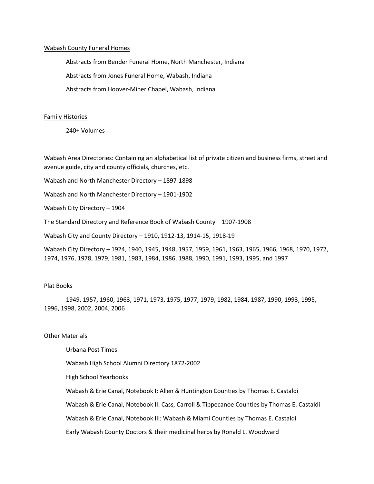## Wabash County Funeral Homes

Abstracts from Bender Funeral Home, North Manchester, Indiana

Abstracts from Jones Funeral Home, Wabash, Indiana

Abstracts from Hoover-Miner Chapel, Wabash, Indiana

# Family Histories

240+ Volumes

Wabash Area Directories: Containing an alphabetical list of private citizen and business firms, street and avenue guide, city and county officials, churches, etc.

Wabash and North Manchester Directory – 1897-1898

Wabash and North Manchester Directory – 1901-1902

Wabash City Directory – 1904

The Standard Directory and Reference Book of Wabash County – 1907-1908

Wabash City and County Directory – 1910, 1912-13, 1914-15, 1918-19

Wabash City Directory – 1924, 1940, 1945, 1948, 1957, 1959, 1961, 1963, 1965, 1966, 1968, 1970, 1972, 1974, 1976, 1978, 1979, 1981, 1983, 1984, 1986, 1988, 1990, 1991, 1993, 1995, and 1997

# Plat Books

1949, 1957, 1960, 1963, 1971, 1973, 1975, 1977, 1979, 1982, 1984, 1987, 1990, 1993, 1995, 1996, 1998, 2002, 2004, 2006

# **Other Materials**

Urbana Post Times

Wabash High School Alumni Directory 1872-2002

High School Yearbooks

Wabash & Erie Canal, Notebook I: Allen & Huntington Counties by Thomas E. Castaldi

Wabash & Erie Canal, Notebook II: Cass, Carroll & Tippecanoe Counties by Thomas E. Castaldi

Wabash & Erie Canal, Notebook III: Wabash & Miami Counties by Thomas E. Castaldi

Early Wabash County Doctors & their medicinal herbs by Ronald L. Woodward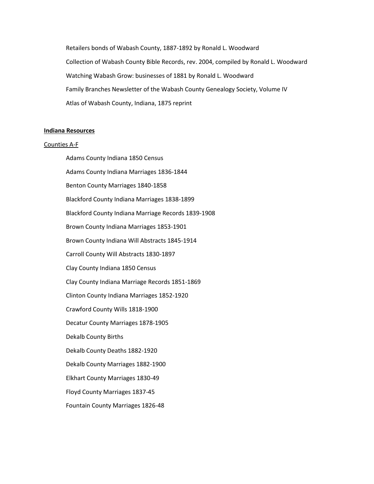Retailers bonds of Wabash County, 1887-1892 by Ronald L. Woodward Collection of Wabash County Bible Records, rev. 2004, compiled by Ronald L. Woodward Watching Wabash Grow: businesses of 1881 by Ronald L. Woodward Family Branches Newsletter of the Wabash County Genealogy Society, Volume IV Atlas of Wabash County, Indiana, 1875 reprint

### **Indiana Resources**

#### Counties A-F

Adams County Indiana 1850 Census Adams County Indiana Marriages 1836-1844 Benton County Marriages 1840-1858 Blackford County Indiana Marriages 1838-1899 Blackford County Indiana Marriage Records 1839-1908 Brown County Indiana Marriages 1853-1901 Brown County Indiana Will Abstracts 1845-1914 Carroll County Will Abstracts 1830-1897 Clay County Indiana 1850 Census Clay County Indiana Marriage Records 1851-1869 Clinton County Indiana Marriages 1852-1920 Crawford County Wills 1818-1900 Decatur County Marriages 1878-1905 Dekalb County Births Dekalb County Deaths 1882-1920 Dekalb County Marriages 1882-1900 Elkhart County Marriages 1830-49 Floyd County Marriages 1837-45 Fountain County Marriages 1826-48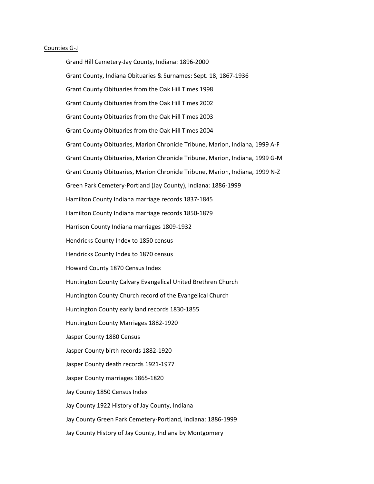#### Counties G-J

Grand Hill Cemetery-Jay County, Indiana: 1896-2000 Grant County, Indiana Obituaries & Surnames: Sept. 18, 1867-1936 Grant County Obituaries from the Oak Hill Times 1998 Grant County Obituaries from the Oak Hill Times 2002 Grant County Obituaries from the Oak Hill Times 2003 Grant County Obituaries from the Oak Hill Times 2004 Grant County Obituaries, Marion Chronicle Tribune, Marion, Indiana, 1999 A-F Grant County Obituaries, Marion Chronicle Tribune, Marion, Indiana, 1999 G-M Grant County Obituaries, Marion Chronicle Tribune, Marion, Indiana, 1999 N-Z Green Park Cemetery-Portland (Jay County), Indiana: 1886-1999 Hamilton County Indiana marriage records 1837-1845 Hamilton County Indiana marriage records 1850-1879 Harrison County Indiana marriages 1809-1932 Hendricks County Index to 1850 census Hendricks County Index to 1870 census Howard County 1870 Census Index Huntington County Calvary Evangelical United Brethren Church Huntington County Church record of the Evangelical Church Huntington County early land records 1830-1855 Huntington County Marriages 1882-1920 Jasper County 1880 Census Jasper County birth records 1882-1920 Jasper County death records 1921-1977 Jasper County marriages 1865-1820 Jay County 1850 Census Index Jay County 1922 History of Jay County, Indiana Jay County Green Park Cemetery-Portland, Indiana: 1886-1999 Jay County History of Jay County, Indiana by Montgomery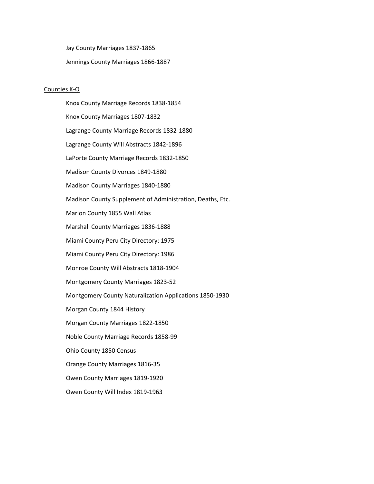Jay County Marriages 1837-1865 Jennings County Marriages 1866-1887

## Counties K-O

Knox County Marriage Records 1838-1854 Knox County Marriages 1807-1832 Lagrange County Marriage Records 1832-1880 Lagrange County Will Abstracts 1842-1896 LaPorte County Marriage Records 1832-1850 Madison County Divorces 1849-1880 Madison County Marriages 1840-1880 Madison County Supplement of Administration, Deaths, Etc. Marion County 1855 Wall Atlas Marshall County Marriages 1836-1888 Miami County Peru City Directory: 1975 Miami County Peru City Directory: 1986 Monroe County Will Abstracts 1818-1904 Montgomery County Marriages 1823-52 Montgomery County Naturalization Applications 1850-1930 Morgan County 1844 History Morgan County Marriages 1822-1850 Noble County Marriage Records 1858-99 Ohio County 1850 Census Orange County Marriages 1816-35 Owen County Marriages 1819-1920 Owen County Will Index 1819-1963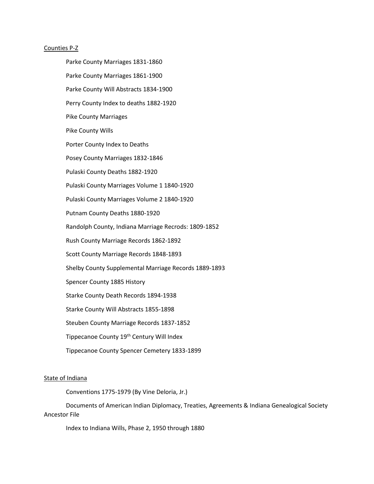### Counties P-Z

Parke County Marriages 1831-1860 Parke County Marriages 1861-1900 Parke County Will Abstracts 1834-1900 Perry County Index to deaths 1882-1920 Pike County Marriages Pike County Wills Porter County Index to Deaths Posey County Marriages 1832-1846 Pulaski County Deaths 1882-1920 Pulaski County Marriages Volume 1 1840-1920 Pulaski County Marriages Volume 2 1840-1920 Putnam County Deaths 1880-1920 Randolph County, Indiana Marriage Recrods: 1809-1852 Rush County Marriage Records 1862-1892 Scott County Marriage Records 1848-1893 Shelby County Supplemental Marriage Records 1889-1893 Spencer County 1885 History Starke County Death Records 1894-1938 Starke County Will Abstracts 1855-1898 Steuben County Marriage Records 1837-1852 Tippecanoe County 19th Century Will Index Tippecanoe County Spencer Cemetery 1833-1899

# State of Indiana

Conventions 1775-1979 (By Vine Deloria, Jr.)

Documents of American Indian Diplomacy, Treaties, Agreements & Indiana Genealogical Society Ancestor File

Index to Indiana Wills, Phase 2, 1950 through 1880